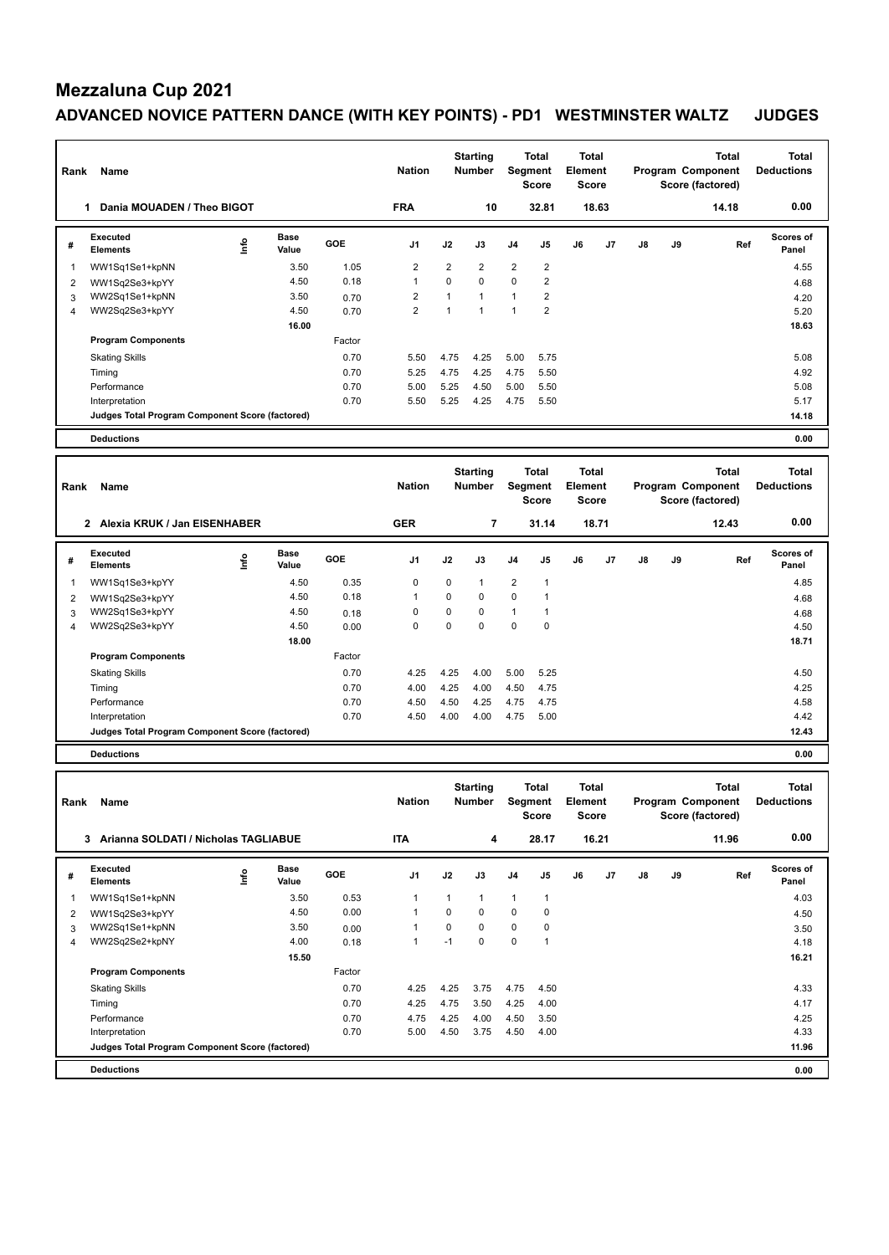| Rank | Name                                            |      |                      |        | <b>Nation</b>  |                | <b>Starting</b><br><b>Number</b> | Segment        | <b>Total</b><br>Score | <b>Total</b><br>Element<br><b>Score</b> |       |               |    | <b>Total</b><br>Program Component<br>Score (factored) | <b>Total</b><br><b>Deductions</b> |
|------|-------------------------------------------------|------|----------------------|--------|----------------|----------------|----------------------------------|----------------|-----------------------|-----------------------------------------|-------|---------------|----|-------------------------------------------------------|-----------------------------------|
|      | Dania MOUADEN / Theo BIGOT<br>1                 |      |                      |        | <b>FRA</b>     |                | 10                               |                | 32.81                 |                                         | 18.63 |               |    | 14.18                                                 | 0.00                              |
| #    | Executed<br><b>Elements</b>                     | lnfo | <b>Base</b><br>Value | GOE    | J <sub>1</sub> | J2             | J3                               | J <sub>4</sub> | J <sub>5</sub>        | J6                                      | J7    | $\mathsf{J}8$ | J9 | Ref                                                   | Scores of<br>Panel                |
| 1    | WW1Sq1Se1+kpNN                                  |      | 3.50                 | 1.05   | $\overline{2}$ | $\overline{2}$ | $\overline{2}$                   | $\overline{2}$ | $\overline{2}$        |                                         |       |               |    |                                                       | 4.55                              |
| 2    | WW1Sq2Se3+kpYY                                  |      | 4.50                 | 0.18   | 1              | 0              | $\mathbf 0$                      | $\mathbf 0$    | $\overline{2}$        |                                         |       |               |    |                                                       | 4.68                              |
| 3    | WW2Sq1Se1+kpNN                                  |      | 3.50                 | 0.70   | $\overline{2}$ | $\overline{ }$ | $\overline{1}$                   | $\overline{ }$ | $\overline{2}$        |                                         |       |               |    |                                                       | 4.20                              |
| 4    | WW2Sq2Se3+kpYY                                  |      | 4.50                 | 0.70   | $\overline{2}$ | 1              | $\overline{ }$                   |                | $\overline{2}$        |                                         |       |               |    |                                                       | 5.20                              |
|      |                                                 |      | 16.00                |        |                |                |                                  |                |                       |                                         |       |               |    |                                                       | 18.63                             |
|      | <b>Program Components</b>                       |      |                      | Factor |                |                |                                  |                |                       |                                         |       |               |    |                                                       |                                   |
|      | <b>Skating Skills</b>                           |      |                      | 0.70   | 5.50           | 4.75           | 4.25                             | 5.00           | 5.75                  |                                         |       |               |    |                                                       | 5.08                              |
|      | Timing                                          |      |                      | 0.70   | 5.25           | 4.75           | 4.25                             | 4.75           | 5.50                  |                                         |       |               |    |                                                       | 4.92                              |
|      | Performance                                     |      |                      | 0.70   | 5.00           | 5.25           | 4.50                             | 5.00           | 5.50                  |                                         |       |               |    |                                                       | 5.08                              |
|      | Interpretation                                  |      |                      | 0.70   | 5.50           | 5.25           | 4.25                             | 4.75           | 5.50                  |                                         |       |               |    |                                                       | 5.17                              |
|      | Judges Total Program Component Score (factored) |      |                      |        |                |                |                                  |                |                       |                                         |       |               |    |                                                       | 14.18                             |
|      | <b>Deductions</b>                               |      |                      |        |                |                |                                  |                |                       |                                         |       |               |    |                                                       | 0.00                              |

| Rank | Name                                            |      |               |            | <b>Nation</b>  |             | <b>Starting</b><br><b>Number</b> |                | <b>Total</b><br>Segment<br><b>Score</b> | <b>Total</b><br>Element<br><b>Score</b> |       |               |    | <b>Total</b><br>Program Component<br>Score (factored) | <b>Total</b><br><b>Deductions</b> |
|------|-------------------------------------------------|------|---------------|------------|----------------|-------------|----------------------------------|----------------|-----------------------------------------|-----------------------------------------|-------|---------------|----|-------------------------------------------------------|-----------------------------------|
|      | Alexia KRUK / Jan EISENHABER<br>$\overline{2}$  |      |               |            | <b>GER</b>     |             | 7                                |                | 31.14                                   |                                         | 18.71 |               |    | 12.43                                                 | 0.00                              |
| #    | Executed<br><b>Elements</b>                     | lnfo | Base<br>Value | <b>GOE</b> | J <sub>1</sub> | J2          | J3                               | J <sub>4</sub> | J5                                      | J6                                      | J7    | $\mathsf{J}8$ | J9 | Ref                                                   | Scores of<br>Panel                |
| 1    | WW1Sq1Se3+kpYY                                  |      | 4.50          | 0.35       | 0              | 0           | $\mathbf{1}$                     | $\overline{2}$ | 1                                       |                                         |       |               |    |                                                       | 4.85                              |
| 2    | WW1Sq2Se3+kpYY                                  |      | 4.50          | 0.18       |                | $\mathbf 0$ | $\mathbf 0$                      | $\mathbf 0$    |                                         |                                         |       |               |    |                                                       | 4.68                              |
| 3    | WW2Sq1Se3+kpYY                                  |      | 4.50          | 0.18       | 0              | 0           | $\mathbf 0$                      | $\overline{1}$ |                                         |                                         |       |               |    |                                                       | 4.68                              |
| 4    | WW2Sq2Se3+kpYY                                  |      | 4.50          | 0.00       | 0              | $\mathbf 0$ | 0                                | $\mathbf 0$    | $\mathbf 0$                             |                                         |       |               |    |                                                       | 4.50                              |
|      |                                                 |      | 18.00         |            |                |             |                                  |                |                                         |                                         |       |               |    |                                                       | 18.71                             |
|      | <b>Program Components</b>                       |      |               | Factor     |                |             |                                  |                |                                         |                                         |       |               |    |                                                       |                                   |
|      | <b>Skating Skills</b>                           |      |               | 0.70       | 4.25           | 4.25        | 4.00                             | 5.00           | 5.25                                    |                                         |       |               |    |                                                       | 4.50                              |
|      | Timing                                          |      |               | 0.70       | 4.00           | 4.25        | 4.00                             | 4.50           | 4.75                                    |                                         |       |               |    |                                                       | 4.25                              |
|      | Performance                                     |      |               | 0.70       | 4.50           | 4.50        | 4.25                             | 4.75           | 4.75                                    |                                         |       |               |    |                                                       | 4.58                              |
|      | Interpretation                                  |      |               | 0.70       | 4.50           | 4.00        | 4.00                             | 4.75           | 5.00                                    |                                         |       |               |    |                                                       | 4.42                              |
|      | Judges Total Program Component Score (factored) |      |               |            |                |             |                                  |                |                                         |                                         |       |               |    |                                                       | 12.43                             |
|      | <b>Deductions</b>                               |      |               |            |                |             |                                  |                |                                         |                                         |       |               |    |                                                       | 0.00                              |

| Rank | Name                                            |   |                      |            | <b>Nation</b>  |             | <b>Starting</b><br><b>Number</b> | <b>Segment</b> | Total<br><b>Score</b> | <b>Total</b><br>Element<br><b>Score</b> |                |    |    | <b>Total</b><br>Program Component<br>Score (factored) | <b>Total</b><br><b>Deductions</b> |
|------|-------------------------------------------------|---|----------------------|------------|----------------|-------------|----------------------------------|----------------|-----------------------|-----------------------------------------|----------------|----|----|-------------------------------------------------------|-----------------------------------|
|      | 3<br>Arianna SOLDATI / Nicholas TAGLIABUE       |   |                      |            | <b>ITA</b>     |             | 4                                |                | 28.17                 |                                         | 16.21          |    |    | 11.96                                                 | 0.00                              |
| #    | Executed<br><b>Elements</b>                     | ۴ | <b>Base</b><br>Value | <b>GOE</b> | J <sub>1</sub> | J2          | J3                               | J <sub>4</sub> | J5                    | J6                                      | J <sub>7</sub> | J8 | J9 | Ref                                                   | <b>Scores of</b><br>Panel         |
| 1    | WW1Sq1Se1+kpNN                                  |   | 3.50                 | 0.53       | 1              | 1           | $\mathbf{1}$                     | 1              | 1                     |                                         |                |    |    |                                                       | 4.03                              |
| 2    | WW1Sq2Se3+kpYY                                  |   | 4.50                 | 0.00       | $\overline{1}$ | 0           | $\mathbf 0$                      | 0              | 0                     |                                         |                |    |    |                                                       | 4.50                              |
| 3    | WW2Sq1Se1+kpNN                                  |   | 3.50                 | 0.00       | 1              | $\mathbf 0$ | $\mathbf 0$                      | 0              | 0                     |                                         |                |    |    |                                                       | 3.50                              |
| 4    | WW2Sq2Se2+kpNY                                  |   | 4.00                 | 0.18       | 1              | $-1$        | $\Omega$                         | 0              | 1                     |                                         |                |    |    |                                                       | 4.18                              |
|      |                                                 |   | 15.50                |            |                |             |                                  |                |                       |                                         |                |    |    |                                                       | 16.21                             |
|      | <b>Program Components</b>                       |   |                      | Factor     |                |             |                                  |                |                       |                                         |                |    |    |                                                       |                                   |
|      | <b>Skating Skills</b>                           |   |                      | 0.70       | 4.25           | 4.25        | 3.75                             | 4.75           | 4.50                  |                                         |                |    |    |                                                       | 4.33                              |
|      | Timing                                          |   |                      | 0.70       | 4.25           | 4.75        | 3.50                             | 4.25           | 4.00                  |                                         |                |    |    |                                                       | 4.17                              |
|      | Performance                                     |   |                      | 0.70       | 4.75           | 4.25        | 4.00                             | 4.50           | 3.50                  |                                         |                |    |    |                                                       | 4.25                              |
|      | Interpretation                                  |   |                      | 0.70       | 5.00           | 4.50        | 3.75                             | 4.50           | 4.00                  |                                         |                |    |    |                                                       | 4.33                              |
|      | Judges Total Program Component Score (factored) |   |                      |            |                |             |                                  |                |                       |                                         |                |    |    |                                                       | 11.96                             |
|      | <b>Deductions</b>                               |   |                      |            |                |             |                                  |                |                       |                                         |                |    |    |                                                       | 0.00                              |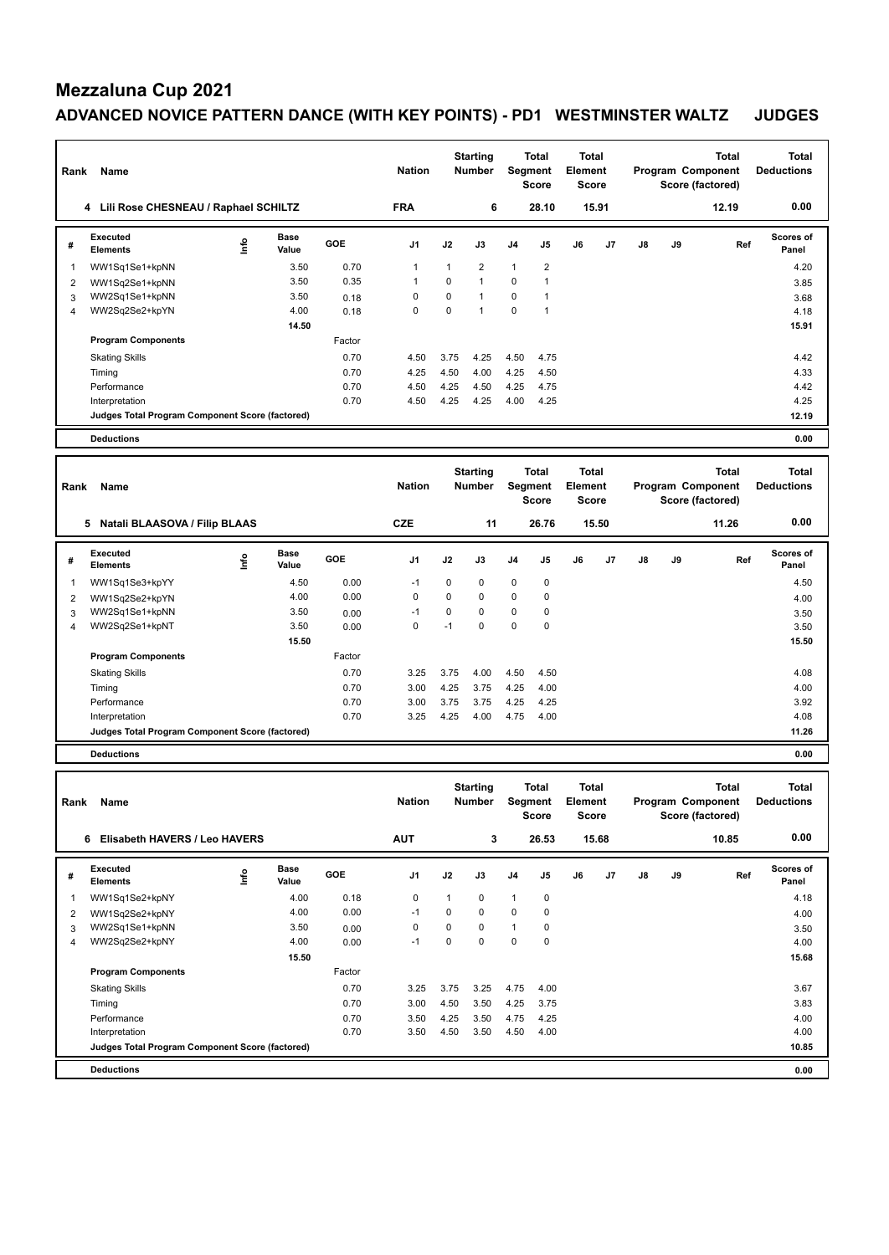| Rank | Name<br>Lili Rose CHESNEAU / Raphael SCHILTZ<br>4 |             |                      |            | <b>Nation</b><br><b>FRA</b> |          | <b>Starting</b><br>Number<br>6 | Segment        | <b>Total</b><br><b>Score</b><br>28.10 | Total<br>Element<br><b>Score</b> | 15.91 |               |    | <b>Total</b><br>Program Component<br>Score (factored)<br>12.19 | Total<br><b>Deductions</b><br>0.00 |
|------|---------------------------------------------------|-------------|----------------------|------------|-----------------------------|----------|--------------------------------|----------------|---------------------------------------|----------------------------------|-------|---------------|----|----------------------------------------------------------------|------------------------------------|
|      |                                                   |             |                      |            |                             |          |                                |                |                                       |                                  |       |               |    |                                                                |                                    |
| #    | Executed<br><b>Elements</b>                       | <u>lnfo</u> | <b>Base</b><br>Value | <b>GOE</b> | J <sub>1</sub>              | J2       | J3                             | J <sub>4</sub> | J <sub>5</sub>                        | J6                               | J7    | $\mathsf{J}8$ | J9 | Ref                                                            | <b>Scores of</b><br>Panel          |
| 1    | WW1Sq1Se1+kpNN                                    |             | 3.50                 | 0.70       |                             | 1        | $\overline{2}$                 | $\mathbf{1}$   | $\overline{2}$                        |                                  |       |               |    |                                                                | 4.20                               |
| 2    | WW1Sq2Se1+kpNN                                    |             | 3.50                 | 0.35       | 1                           | $\Omega$ | $\mathbf{1}$                   | $\mathbf 0$    | $\overline{\mathbf{1}}$               |                                  |       |               |    |                                                                | 3.85                               |
| 3    | WW2Sq1Se1+kpNN                                    |             | 3.50                 | 0.18       | 0                           | 0        | $\mathbf{1}$                   | 0              | -1                                    |                                  |       |               |    |                                                                | 3.68                               |
| 4    | WW2Sq2Se2+kpYN                                    |             | 4.00                 | 0.18       | 0                           | 0        | 1                              | 0              | $\overline{ }$                        |                                  |       |               |    |                                                                | 4.18                               |
|      |                                                   |             | 14.50                |            |                             |          |                                |                |                                       |                                  |       |               |    |                                                                | 15.91                              |
|      | <b>Program Components</b>                         |             |                      | Factor     |                             |          |                                |                |                                       |                                  |       |               |    |                                                                |                                    |
|      | <b>Skating Skills</b>                             |             |                      | 0.70       | 4.50                        | 3.75     | 4.25                           | 4.50           | 4.75                                  |                                  |       |               |    |                                                                | 4.42                               |
|      | Timing                                            |             |                      | 0.70       | 4.25                        | 4.50     | 4.00                           | 4.25           | 4.50                                  |                                  |       |               |    |                                                                | 4.33                               |
|      | Performance                                       |             |                      | 0.70       | 4.50                        | 4.25     | 4.50                           | 4.25           | 4.75                                  |                                  |       |               |    |                                                                | 4.42                               |
|      | Interpretation                                    |             |                      | 0.70       | 4.50                        | 4.25     | 4.25                           | 4.00           | 4.25                                  |                                  |       |               |    |                                                                | 4.25                               |
|      | Judges Total Program Component Score (factored)   |             |                      |            |                             |          |                                |                |                                       |                                  |       |               |    |                                                                | 12.19                              |
|      | <b>Deductions</b>                                 |             |                      |            |                             |          |                                |                |                                       |                                  |       |               |    |                                                                | 0.00                               |

| Rank | Name                                            |      |                      |            | <b>Nation</b> |             | <b>Starting</b><br><b>Number</b> |                | Total<br>Segment<br><b>Score</b> | Total<br>Element<br><b>Score</b> |                |               |    | <b>Total</b><br>Program Component<br>Score (factored) | <b>Total</b><br><b>Deductions</b> |
|------|-------------------------------------------------|------|----------------------|------------|---------------|-------------|----------------------------------|----------------|----------------------------------|----------------------------------|----------------|---------------|----|-------------------------------------------------------|-----------------------------------|
|      | 5<br>Natali BLAASOVA / Filip BLAAS              |      |                      |            | <b>CZE</b>    |             | 11                               |                | 26.76                            |                                  | 15.50          |               |    | 11.26                                                 | 0.00                              |
| #    | Executed<br><b>Elements</b>                     | ١nf٥ | <b>Base</b><br>Value | <b>GOE</b> | J1            | J2          | J3                               | J <sub>4</sub> | J <sub>5</sub>                   | J6                               | J <sub>7</sub> | $\mathsf{J}8$ | J9 | Ref                                                   | Scores of<br>Panel                |
| 1    | WW1Sq1Se3+kpYY                                  |      | 4.50                 | 0.00       | $-1$          | 0           | 0                                | $\mathbf 0$    | 0                                |                                  |                |               |    |                                                       | 4.50                              |
| 2    | WW1Sq2Se2+kpYN                                  |      | 4.00                 | 0.00       | 0             | $\mathbf 0$ | 0                                | $\mathbf 0$    | 0                                |                                  |                |               |    |                                                       | 4.00                              |
| 3    | WW2Sq1Se1+kpNN                                  |      | 3.50                 | 0.00       | $-1$          | $\mathbf 0$ | $\mathbf 0$                      | $\mathbf 0$    | $\mathbf 0$                      |                                  |                |               |    |                                                       | 3.50                              |
| 4    | WW2Sq2Se1+kpNT                                  |      | 3.50                 | 0.00       | 0             | $-1$        | 0                                | $\mathbf 0$    | $\mathbf 0$                      |                                  |                |               |    |                                                       | 3.50                              |
|      |                                                 |      | 15.50                |            |               |             |                                  |                |                                  |                                  |                |               |    |                                                       | 15.50                             |
|      | <b>Program Components</b>                       |      |                      | Factor     |               |             |                                  |                |                                  |                                  |                |               |    |                                                       |                                   |
|      | <b>Skating Skills</b>                           |      |                      | 0.70       | 3.25          | 3.75        | 4.00                             | 4.50           | 4.50                             |                                  |                |               |    |                                                       | 4.08                              |
|      | Timing                                          |      |                      | 0.70       | 3.00          | 4.25        | 3.75                             | 4.25           | 4.00                             |                                  |                |               |    |                                                       | 4.00                              |
|      | Performance                                     |      |                      | 0.70       | 3.00          | 3.75        | 3.75                             | 4.25           | 4.25                             |                                  |                |               |    |                                                       | 3.92                              |
|      | Interpretation                                  |      |                      | 0.70       | 3.25          | 4.25        | 4.00                             | 4.75           | 4.00                             |                                  |                |               |    |                                                       | 4.08                              |
|      | Judges Total Program Component Score (factored) |      |                      |            |               |             |                                  |                |                                  |                                  |                |               |    |                                                       | 11.26                             |
|      | <b>Deductions</b>                               |      |                      |            |               |             |                                  |                |                                  |                                  |                |               |    |                                                       | 0.00                              |

**Total Deductions Total Program Component Score (factored) Total Element Score Total Segment Score Starting Rank Name Nation Number # Executed Elements Base Value GOE J1 J2 J3 J4 J5 J6 J7 J8 J9 Scores of Panel** 1 WW1Sq1Se2+kpNY 4.00 0.18 0 1 0 1 0 **Ref**  WW1Sq1Se2+kpNY 4.18 **Info 6 Elisabeth HAVERS / Leo HAVERS AUT 3 26.53 15.68 10.85 0.00** 2 WW1Sq2Se2+kpNY 4.00 0.00 -1 0 0 0 0 4.00 1 WW2Sq1Se1+kpNN 3.50 0.00 0 0 0 1 0<br>1 WW2Sq2Se2+kpNY 4.00 0.00 −1 0 0 0 0 0 0 3.50 4 WW2Sq2Se2+kpNY 4.00 0.00 -1 0 0 0 0 4.00  **15.50 15.50 15.68 Program Components**  Skating Skills 3.25 3.25 4.75 4.00 Factor 0.70 3.25 3.75 3.25 4.75 4.00 3.67 Timing 2.83 3.83 3.83 3.83 3.83 4.25 3.75 3.83 4.25 5.75 3.83 4.25 5.75 3.83 4.25 5.83 5.83 4.25 5.83 5.83 5.83 Performance 0.70 3.50 4.25 3.50 4.75 4.25 4.00 Interpretation 0.70 3.50 4.50 3.50 4.50 4.00 4.00 **Deductions 0.00 Judges Total Program Component Score (factored) 10.85**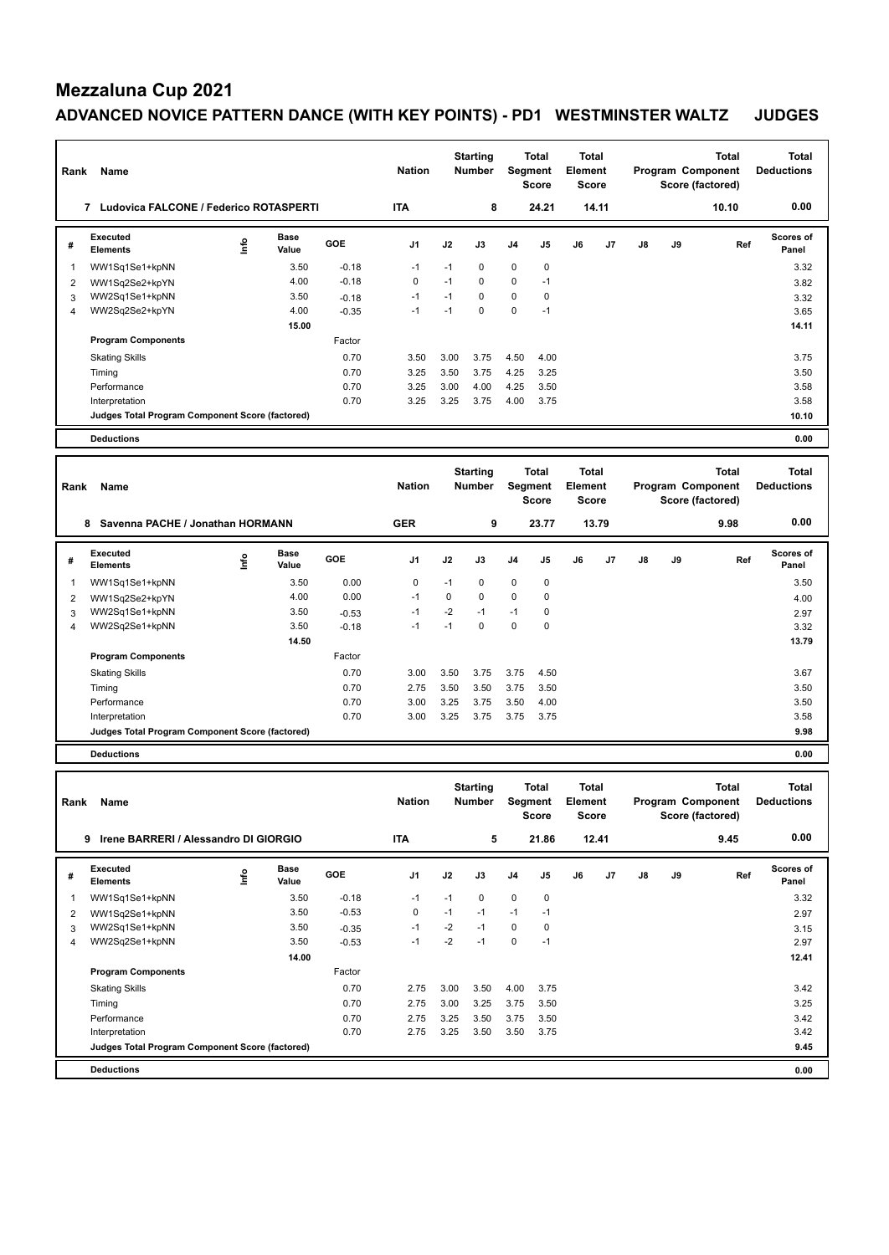| Rank | Name<br>7<br>Ludovica FALCONE / Federico ROTASPERTI |    |                      |            | <b>Nation</b><br><b>ITA</b> |      | <b>Starting</b><br><b>Number</b><br>8 | Segment        | <b>Total</b><br><b>Score</b><br>24.21 | Total<br>Element<br><b>Score</b> | 14.11          |    |    | <b>Total</b><br>Program Component<br>Score (factored)<br>10.10 | Total<br><b>Deductions</b><br>0.00 |
|------|-----------------------------------------------------|----|----------------------|------------|-----------------------------|------|---------------------------------------|----------------|---------------------------------------|----------------------------------|----------------|----|----|----------------------------------------------------------------|------------------------------------|
| #    | Executed<br><b>Elements</b>                         | ۴ů | <b>Base</b><br>Value | <b>GOE</b> | J <sub>1</sub>              | J2   | J3                                    | J <sub>4</sub> | J <sub>5</sub>                        | J6                               | J <sub>7</sub> | J8 | J9 | Ref                                                            | <b>Scores of</b><br>Panel          |
| 1    | WW1Sq1Se1+kpNN                                      |    | 3.50                 | $-0.18$    | $-1$                        | $-1$ | $\Omega$                              | $\mathbf 0$    | $\mathbf 0$                           |                                  |                |    |    |                                                                | 3.32                               |
| 2    | WW1Sq2Se2+kpYN                                      |    | 4.00                 | $-0.18$    | 0                           | $-1$ | 0                                     | 0              | $-1$                                  |                                  |                |    |    |                                                                | 3.82                               |
| 3    | WW2Sq1Se1+kpNN                                      |    | 3.50                 | $-0.18$    | $-1$                        | $-1$ | $\Omega$                              | 0              | 0                                     |                                  |                |    |    |                                                                | 3.32                               |
| 4    | WW2Sq2Se2+kpYN                                      |    | 4.00                 | $-0.35$    | $-1$                        | $-1$ | $\Omega$                              | 0              | $-1$                                  |                                  |                |    |    |                                                                | 3.65                               |
|      |                                                     |    | 15.00                |            |                             |      |                                       |                |                                       |                                  |                |    |    |                                                                | 14.11                              |
|      | <b>Program Components</b>                           |    |                      | Factor     |                             |      |                                       |                |                                       |                                  |                |    |    |                                                                |                                    |
|      | <b>Skating Skills</b>                               |    |                      | 0.70       | 3.50                        | 3.00 | 3.75                                  | 4.50           | 4.00                                  |                                  |                |    |    |                                                                | 3.75                               |
|      | Timing                                              |    |                      | 0.70       | 3.25                        | 3.50 | 3.75                                  | 4.25           | 3.25                                  |                                  |                |    |    |                                                                | 3.50                               |
|      | Performance                                         |    |                      | 0.70       | 3.25                        | 3.00 | 4.00                                  | 4.25           | 3.50                                  |                                  |                |    |    |                                                                | 3.58                               |
|      | Interpretation                                      |    |                      | 0.70       | 3.25                        | 3.25 | 3.75                                  | 4.00           | 3.75                                  |                                  |                |    |    |                                                                | 3.58                               |
|      | Judges Total Program Component Score (factored)     |    |                      |            |                             |      |                                       |                |                                       |                                  |                |    |    |                                                                | 10.10                              |
|      | <b>Deductions</b>                                   |    |                      |            |                             |      |                                       |                |                                       |                                  |                |    |    |                                                                | 0.00                               |

| Rank | Name                                            |     |                      |            | <b>Nation</b>  |      | <b>Starting</b><br><b>Number</b> |                | <b>Total</b><br>Segment<br>Score | <b>Total</b><br>Element<br><b>Score</b> |       |    |    | <b>Total</b><br>Program Component<br>Score (factored) | <b>Total</b><br><b>Deductions</b> |
|------|-------------------------------------------------|-----|----------------------|------------|----------------|------|----------------------------------|----------------|----------------------------------|-----------------------------------------|-------|----|----|-------------------------------------------------------|-----------------------------------|
|      | Savenna PACHE / Jonathan HORMANN<br>8           |     |                      |            | <b>GER</b>     |      | 9                                |                | 23.77                            |                                         | 13.79 |    |    | 9.98                                                  | 0.00                              |
| #    | Executed<br><b>Elements</b>                     | ١nt | <b>Base</b><br>Value | <b>GOE</b> | J <sub>1</sub> | J2   | J3                               | J <sub>4</sub> | J <sub>5</sub>                   | J6                                      | J7    | J8 | J9 | Ref                                                   | <b>Scores of</b><br>Panel         |
|      | WW1Sq1Se1+kpNN                                  |     | 3.50                 | 0.00       | 0              | $-1$ | $\mathbf 0$                      | $\mathbf 0$    | 0                                |                                         |       |    |    |                                                       | 3.50                              |
| 2    | WW1Sq2Se2+kpYN                                  |     | 4.00                 | 0.00       | $-1$           | 0    | $\mathbf 0$                      | $\pmb{0}$      | 0                                |                                         |       |    |    |                                                       | 4.00                              |
| 3    | WW2Sq1Se1+kpNN                                  |     | 3.50                 | $-0.53$    | $-1$           | $-2$ | $-1$                             | $-1$           | 0                                |                                         |       |    |    |                                                       | 2.97                              |
| 4    | WW2Sq2Se1+kpNN                                  |     | 3.50                 | $-0.18$    | $-1$           | $-1$ | $\mathbf 0$                      | $\mathbf 0$    | 0                                |                                         |       |    |    |                                                       | 3.32                              |
|      |                                                 |     | 14.50                |            |                |      |                                  |                |                                  |                                         |       |    |    |                                                       | 13.79                             |
|      | <b>Program Components</b>                       |     |                      | Factor     |                |      |                                  |                |                                  |                                         |       |    |    |                                                       |                                   |
|      | <b>Skating Skills</b>                           |     |                      | 0.70       | 3.00           | 3.50 | 3.75                             | 3.75           | 4.50                             |                                         |       |    |    |                                                       | 3.67                              |
|      | Timing                                          |     |                      | 0.70       | 2.75           | 3.50 | 3.50                             | 3.75           | 3.50                             |                                         |       |    |    |                                                       | 3.50                              |
|      | Performance                                     |     |                      | 0.70       | 3.00           | 3.25 | 3.75                             | 3.50           | 4.00                             |                                         |       |    |    |                                                       | 3.50                              |
|      | Interpretation                                  |     |                      | 0.70       | 3.00           | 3.25 | 3.75                             | 3.75           | 3.75                             |                                         |       |    |    |                                                       | 3.58                              |
|      | Judges Total Program Component Score (factored) |     |                      |            |                |      |                                  |                |                                  |                                         |       |    |    |                                                       | 9.98                              |
|      | <b>Deductions</b>                               |     |                      |            |                |      |                                  |                |                                  |                                         |       |    |    |                                                       | 0.00                              |

**Total Deductions Total Program Component Score (factored) Total Element Score Total Segment Score Starting Rank Name Nation Number # Executed Elements Base Value GOE J1 J2 J3 J4 J5 J6 J7 J8 J9 Scores of Panel** 1 WW1Sq1Se1+kpNN 3.50 -0.18 -1 -1 0 0 0 **Ref**  WW1Sq1Se1+kpNN 3.32 **Info 9 Irene BARRERI / Alessandro DI GIORGIO ITA 5 21.86 12.41 9.45 0.00** 2 WW1Sq2Se1+kpNN 3.50 -0.53 0 -1 -1 -1 -1 2.97 1 WW2Sq1Se1+kpNN 3.50 -0.35 -1 -2 -1 0 0<br>2.97 4 WW2Sq2Se1+kpNN 3.50 -0.53 -1 -2 -1 0 -1 4 WW2Sq2Se1+kpNN 3.50 -0.53 -1 -2 -1 0 -1 2.97  **14.00 12.41 Program Components**  Skating Skills 2.75 3.00 3.50 4.00 3.75 Factor 0.70 2.75 3.00 3.50 4.00 3.75 3.42 Timing 2.75 3.00 3.25 3.75 3.50 3.25 3.75 3.50 3.25 3.75 3.50 3.25 Performance 0.70 2.75 3.25 3.50 3.75 3.50 3.42 Interpretation 0.70 2.75 3.25 3.50 3.50 3.75 3.42 **Deductions 0.00 Judges Total Program Component Score (factored) 9.45**